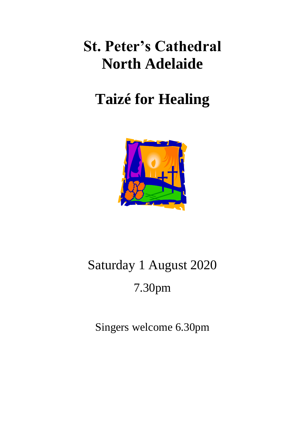## **St. Peter's Cathedral North Adelaide**

## **Taizé for Healing**



# Saturday 1 August 2020 7.30pm

Singers welcome 6.30pm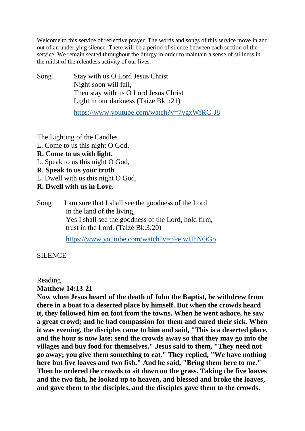Welcome to this service of reflective prayer. The words and songs of this service move in and out of an underlying silence. There will be a period of silence between each section of the service. We remain seated throughout the liturgy in order to maintain a sense of stillness in the midst of the relentless activity of our lives.

Song Stay with us O Lord Jesus Christ Night soon will fall, Then stay with us O Lord Jesus Christ Light in our darkness (Taize Bk1:21)

<https://www.youtube.com/watch?v=7ygxWfRC-J8>

The Lighting of the Candles

- L. Come to us this night O God,
- **R. Come to us with light.**
- L. Speak to us this night O God,
- **R. Speak to us your truth**
- L. Dwell with us this night O God,
- **R. Dwell with us in Love**.

Song I am sure that I shall see the goodness of the Lord in the land of the living, Yes I shall see the goodness of the Lord, hold firm, trust in the Lord. (Taizé Bk.3:20) <https://www.youtube.com/watch?v=pPeiwHhNOGo>

SILENCE

Reading

**Matthew 14:13-21**

**Now when Jesus heard of the death of John the Baptist, he withdrew from there in a boat to a deserted place by himself. But when the crowds heard it, they followed him on foot from the towns. When he went ashore, he saw a great crowd; and he had compassion for them and cured their sick. When it was evening, the disciples came to him and said, "This is a deserted place, and the hour is now late; send the crowds away so that they may go into the villages and buy food for themselves." Jesus said to them, "They need not go away; you give them something to eat." They replied, "We have nothing here but five loaves and two fish." And he said, "Bring them here to me." Then he ordered the crowds to sit down on the grass. Taking the five loaves and the two fish, he looked up to heaven, and blessed and broke the loaves, and gave them to the disciples, and the disciples gave them to the crowds.**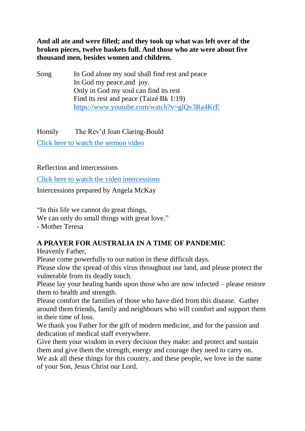**And all ate and were filled; and they took up what was left over of the broken pieces, twelve baskets full. And those who ate were about five thousand men, besides women and children.**

Song In God alone my soul shall find rest and peace In God my peace,and joy. Only in God my soul can find its rest Find its rest and peace (Taizé Bk 1:19) <https://www.youtube.com/watch?v=glQv3Ra4KrE>

Homily The Rev'd Joan Claring-Bould [Click here to watch the sermon video](http://www.stpeters-cathedral.org.au/sermon-online-taize-service-august-2020/)

Reflection and intercessions

[Click here to watch the video intercessions](https://youtu.be/d5Lu0BUQnR4)

Intercessions prepared by Angela McKay

"In this life we cannot do great things, We can only do small things with great love." - Mother Teresa

#### **A PRAYER FOR AUSTRALIA IN A TIME OF PANDEMIC**

Heavenly Father,

Please come powerfully to our nation in these difficult days.

Please slow the spread of this virus throughout our land, and please protect the vulnerable from its deadly touch.

Please lay your healing hands upon those who are now infected – please restore them to health and strength.

Please comfort the families of those who have died from this disease. Gather around them friends, family and neighbours who will comfort and support them in their time of loss.

We thank you Father for the gift of modern medicine, and for the passion and dedication of medical staff everywhere.

Give them your wisdom in every decision they make: and protect and sustain them and give them the strength, energy and courage they need to carry on.

We ask all these things for this country, and these people, we love in the name of your Son, Jesus Christ our Lord.